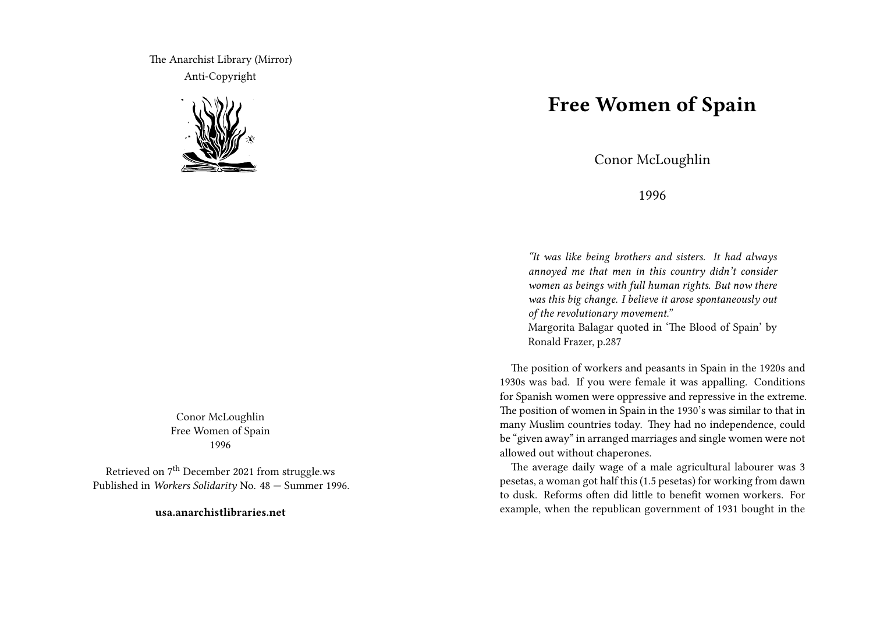The Anarchist Library (Mirror) Anti-Copyright



Conor McLoughlin Free Women of Spain 1996

Retrieved on  $7<sup>th</sup>$  December 2021 from struggle.ws Published in *Workers Solidarity* No. 48 — Summer 1996.

**usa.anarchistlibraries.net**

## **Free Women of Spain**

Conor McLoughlin

1996

*"It was like being brothers and sisters. It had always annoyed me that men in this country didn't consider women as beings with full human rights. But now there was this big change. I believe it arose spontaneously out of the revolutionary movement."*

Margorita Balagar quoted in 'The Blood of Spain' by Ronald Frazer, p.287

The position of workers and peasants in Spain in the 1920s and 1930s was bad. If you were female it was appalling. Conditions for Spanish women were oppressive and repressive in the extreme. The position of women in Spain in the 1930's was similar to that in many Muslim countries today. They had no independence, could be "given away" in arranged marriages and single women were not allowed out without chaperones.

The average daily wage of a male agricultural labourer was 3 pesetas, a woman got half this (1.5 pesetas) for working from dawn to dusk. Reforms often did little to benefit women workers. For example, when the republican government of 1931 bought in the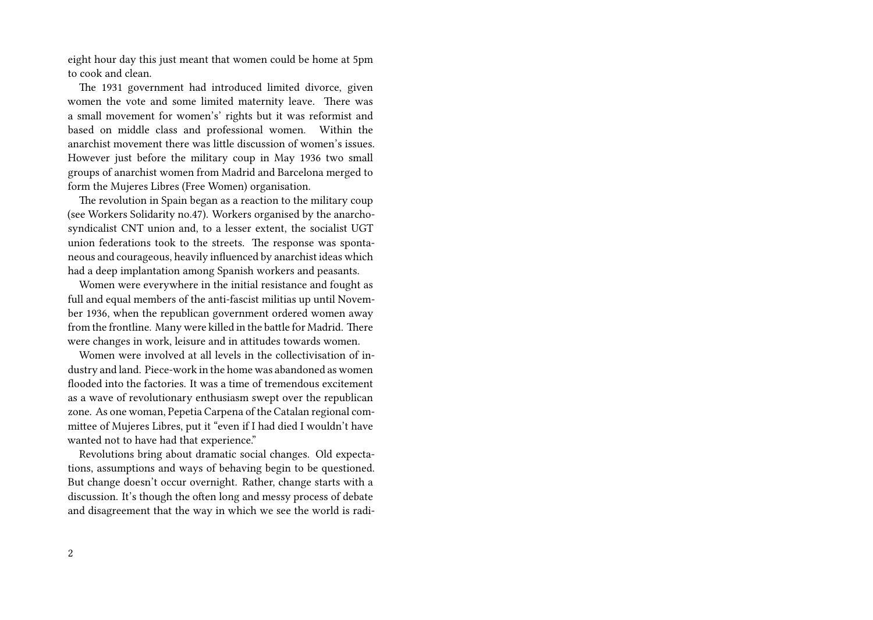eight hour day this just meant that women could be home at 5pm to cook and clean.

The 1931 government had introduced limited divorce, given women the vote and some limited maternity leave. There was a small movement for women's' rights but it was reformist and based on middle class and professional women. Within the anarchist movement there was little discussion of women's issues. However just before the military coup in May 1936 two small groups of anarchist women from Madrid and Barcelona merged to form the Mujeres Libres (Free Women) organisation.

The revolution in Spain began as a reaction to the military coup (see Workers Solidarity no.47). Workers organised by the anarchosyndicalist CNT union and, to a lesser extent, the socialist UGT union federations took to the streets. The response was spontaneous and courageous, heavily influenced by anarchist ideas which had a deep implantation among Spanish workers and peasants.

Women were everywhere in the initial resistance and fought as full and equal members of the anti-fascist militias up until November 1936, when the republican government ordered women away from the frontline. Many were killed in the battle for Madrid. There were changes in work, leisure and in attitudes towards women.

Women were involved at all levels in the collectivisation of industry and land. Piece-work in the home was abandoned as women flooded into the factories. It was a time of tremendous excitement as a wave of revolutionary enthusiasm swept over the republican zone. As one woman, Pepetia Carpena of the Catalan regional committee of Mujeres Libres, put it "even if I had died I wouldn't have wanted not to have had that experience."

Revolutions bring about dramatic social changes. Old expectations, assumptions and ways of behaving begin to be questioned. But change doesn't occur overnight. Rather, change starts with a discussion. It's though the often long and messy process of debate and disagreement that the way in which we see the world is radi-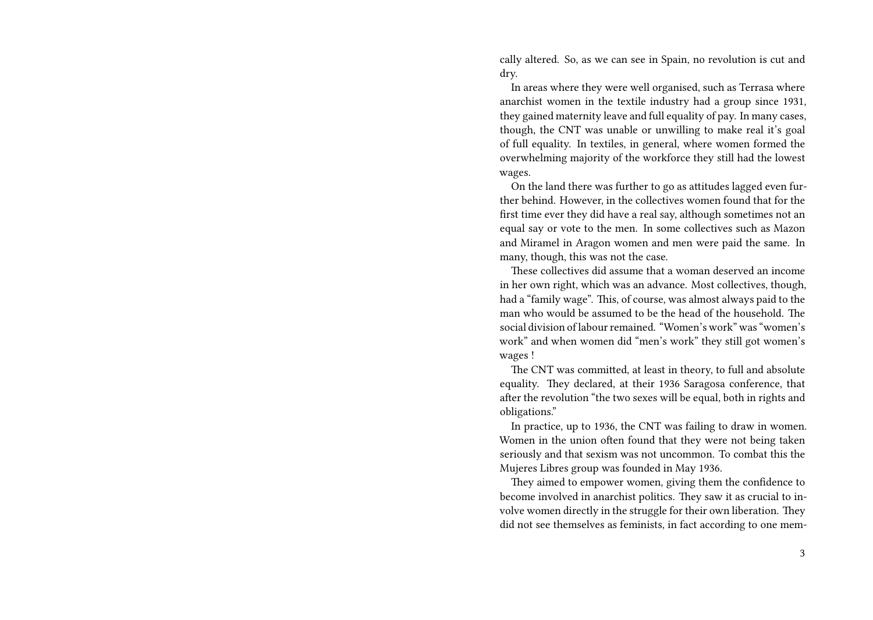cally altered. So, as we can see in Spain, no revolution is cut and dry.

In areas where they were well organised, such as Terrasa where anarchist women in the textile industry had a group since 1931, they gained maternity leave and full equality of pay. In many cases, though, the CNT was unable or unwilling to make real it's goal of full equality. In textiles, in general, where women formed the overwhelming majority of the workforce they still had the lowest wages.

On the land there was further to go as attitudes lagged even further behind. However, in the collectives women found that for the first time ever they did have a real say, although sometimes not an equal say or vote to the men. In some collectives such as Mazon and Miramel in Aragon women and men were paid the same. In many, though, this was not the case.

These collectives did assume that a woman deserved an income in her own right, which was an advance. Most collectives, though, had a "family wage". This, of course, was almost always paid to the man who would be assumed to be the head of the household. The social division of labour remained. "Women's work" was "women's work" and when women did "men's work" they still got women's wages !

The CNT was committed, at least in theory, to full and absolute equality. They declared, at their 1936 Saragosa conference, that after the revolution "the two sexes will be equal, both in rights and obligations."

In practice, up to 1936, the CNT was failing to draw in women. Women in the union often found that they were not being taken seriously and that sexism was not uncommon. To combat this the Mujeres Libres group was founded in May 1936.

They aimed to empower women, giving them the confidence to become involved in anarchist politics. They saw it as crucial to involve women directly in the struggle for their own liberation. They did not see themselves as feminists, in fact according to one mem